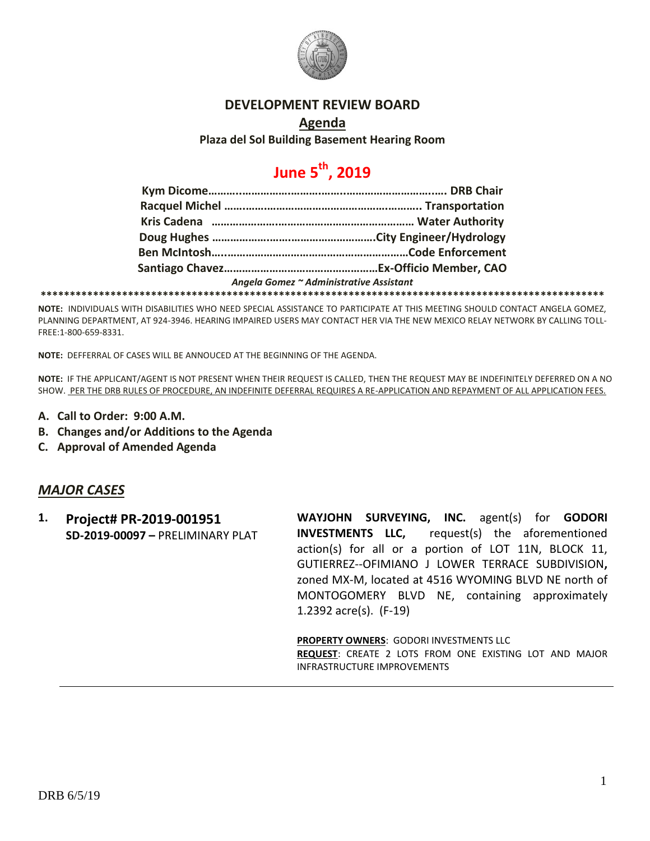

#### **DEVELOPMENT REVIEW BOARD**

**Agenda**

**Plaza del Sol Building Basement Hearing Room**

# **June 5th, 2019**

|  | Angela Gomez ~ Administrative Assistant |
|--|-----------------------------------------|
|  |                                         |

**NOTE:** INDIVIDUALS WITH DISABILITIES WHO NEED SPECIAL ASSISTANCE TO PARTICIPATE AT THIS MEETING SHOULD CONTACT ANGELA GOMEZ, PLANNING DEPARTMENT, AT 924-3946. HEARING IMPAIRED USERS MAY CONTACT HER VIA THE NEW MEXICO RELAY NETWORK BY CALLING TOLL-FREE:1-800-659-8331.

**NOTE:** DEFFERRAL OF CASES WILL BE ANNOUCED AT THE BEGINNING OF THE AGENDA.

**NOTE:** IF THE APPLICANT/AGENT IS NOT PRESENT WHEN THEIR REQUEST IS CALLED, THEN THE REQUEST MAY BE INDEFINITELY DEFERRED ON A NO SHOW. PER THE DRB RULES OF PROCEDURE, AN INDEFINITE DEFERRAL REQUIRES A RE-APPLICATION AND REPAYMENT OF ALL APPLICATION FEES.

- **A. Call to Order: 9:00 A.M.**
- **B. Changes and/or Additions to the Agenda**
- **C. Approval of Amended Agenda**

#### *MAJOR CASES*

**1. Project# PR-2019-001951 SD-2019-00097 –** PRELIMINARY PLAT **WAYJOHN SURVEYING, INC.** agent(s) for **GODORI INVESTMENTS LLC,** request(s) the aforementioned action(s) for all or a portion of LOT 11N, BLOCK 11, GUTIERREZ--OFIMIANO J LOWER TERRACE SUBDIVISION**,**  zoned MX-M, located at 4516 WYOMING BLVD NE north of MONTOGOMERY BLVD NE, containing approximately 1.2392 acre(s). (F-19)

**PROPERTY OWNERS**: GODORI INVESTMENTS LLC **REQUEST**: CREATE 2 LOTS FROM ONE EXISTING LOT AND MAJOR INFRASTRUCTURE IMPROVEMENTS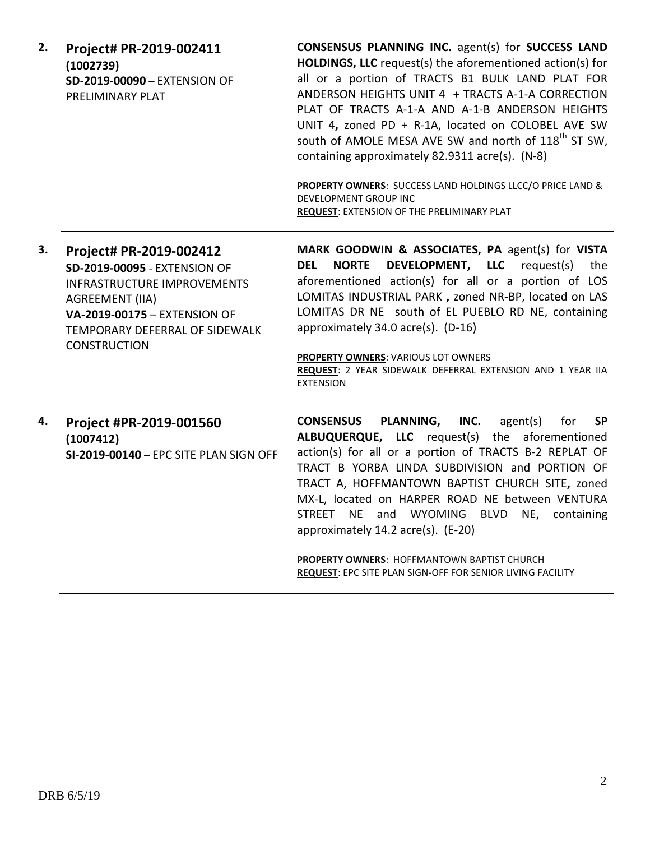| 2. | Project# PR-2019-002411<br>(1002739)<br>SD-2019-00090 - EXTENSION OF<br>PRELIMINARY PLAT                                                                                                                                | <b>CONSENSUS PLANNING INC.</b> agent(s) for <b>SUCCESS LAND</b><br>HOLDINGS, LLC request(s) the aforementioned action(s) for<br>all or a portion of TRACTS B1 BULK LAND PLAT FOR<br>ANDERSON HEIGHTS UNIT 4 + TRACTS A-1-A CORRECTION<br>PLAT OF TRACTS A-1-A AND A-1-B ANDERSON HEIGHTS<br>UNIT 4, zoned PD + R-1A, located on COLOBEL AVE SW<br>south of AMOLE MESA AVE SW and north of 118 <sup>th</sup> ST SW,<br>containing approximately 82.9311 acre(s). (N-8)<br>PROPERTY OWNERS: SUCCESS LAND HOLDINGS LLCC/O PRICE LAND &<br>DEVELOPMENT GROUP INC<br><b>REQUEST: EXTENSION OF THE PRELIMINARY PLAT</b> |
|----|-------------------------------------------------------------------------------------------------------------------------------------------------------------------------------------------------------------------------|-------------------------------------------------------------------------------------------------------------------------------------------------------------------------------------------------------------------------------------------------------------------------------------------------------------------------------------------------------------------------------------------------------------------------------------------------------------------------------------------------------------------------------------------------------------------------------------------------------------------|
| 3. | Project# PR-2019-002412<br><b>SD-2019-00095 - EXTENSION OF</b><br><b>INFRASTRUCTURE IMPROVEMENTS</b><br><b>AGREEMENT (IIA)</b><br>VA-2019-00175 - EXTENSION OF<br>TEMPORARY DEFERRAL OF SIDEWALK<br><b>CONSTRUCTION</b> | MARK GOODWIN & ASSOCIATES, PA agent(s) for VISTA<br>DEVELOPMENT, LLC<br><b>NORTE</b><br>request(s)<br><b>DEL</b><br>the<br>aforementioned action(s) for all or a portion of LOS<br>LOMITAS INDUSTRIAL PARK, zoned NR-BP, located on LAS<br>LOMITAS DR NE south of EL PUEBLO RD NE, containing<br>approximately 34.0 acre(s). (D-16)<br>PROPERTY OWNERS: VARIOUS LOT OWNERS<br>REQUEST: 2 YEAR SIDEWALK DEFERRAL EXTENSION AND 1 YEAR IIA<br><b>EXTENSION</b>                                                                                                                                                      |
| 4. | Project #PR-2019-001560<br>(1007412)<br>SI-2019-00140 - EPC SITE PLAN SIGN OFF                                                                                                                                          | <b>CONSENSUS</b><br>PLANNING,<br>INC.<br>agent(s)<br>for<br><b>SP</b><br>ALBUQUERQUE, LLC request(s) the aforementioned<br>action(s) for all or a portion of TRACTS B-2 REPLAT OF<br>TRACT B YORBA LINDA SUBDIVISION and PORTION OF<br>TRACT A, HOFFMANTOWN BAPTIST CHURCH SITE, zoned<br>MX-L, located on HARPER ROAD NE between VENTURA<br>STREET NE<br>and WYOMING<br><b>BLVD</b><br>NE, containing<br>approximately 14.2 acre(s). (E-20)<br><b>PROPERTY OWNERS: HOFFMANTOWN BAPTIST CHURCH</b><br>REQUEST: EPC SITE PLAN SIGN-OFF FOR SENIOR LIVING FACILITY                                                  |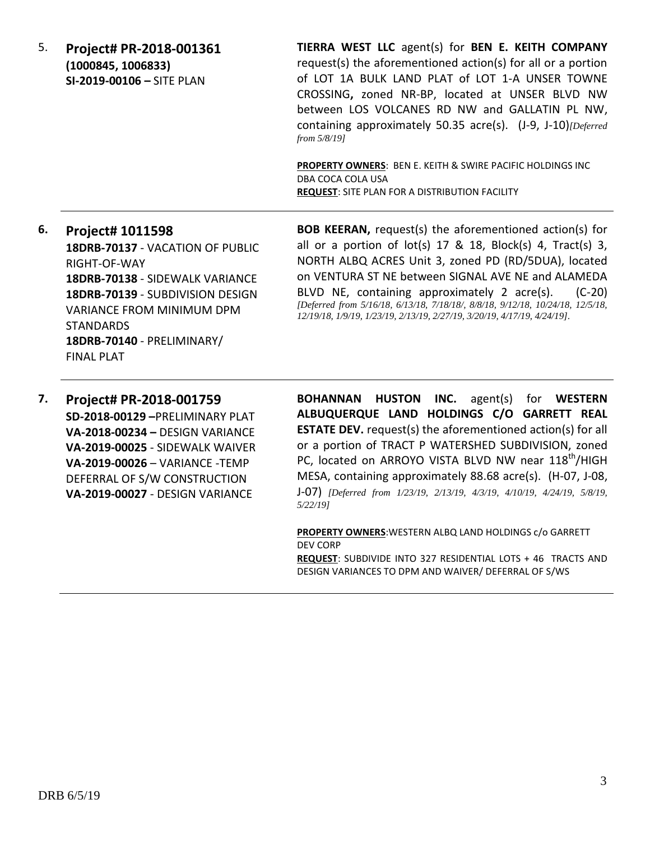5. **Project# PR-2018-001361 (1000845, 1006833) SI-2019-00106 –** SITE PLAN

**TIERRA WEST LLC** agent(s) for **BEN E. KEITH COMPANY** request(s) the aforementioned action(s) for all or a portion of LOT 1A BULK LAND PLAT of LOT 1-A UNSER TOWNE CROSSING**,** zoned NR-BP, located at UNSER BLVD NW between LOS VOLCANES RD NW and GALLATIN PL NW, containing approximately 50.35 acre(s). (J-9, J-10)*[Deferred from 5/8/19]*

**PROPERTY OWNERS**: BEN E. KEITH & SWIRE PACIFIC HOLDINGS INC DBA COCA COLA USA **REQUEST**: SITE PLAN FOR A DISTRIBUTION FACILITY

## **6. Project# 1011598 18DRB-70137** - VACATION OF PUBLIC RIGHT-OF-WAY **18DRB-70138** - SIDEWALK VARIANCE **18DRB-70139** - SUBDIVISION DESIGN VARIANCE FROM MINIMUM DPM STANDARDS **18DRB-70140** - PRELIMINARY/ FINAL PLAT

**BOB KEERAN,** request(s) the aforementioned action(s) for all or a portion of  $lot(s)$  17 & 18, Block(s) 4, Tract(s) 3, NORTH ALBQ ACRES Unit 3, zoned PD (RD/5DUA), located on VENTURA ST NE between SIGNAL AVE NE and ALAMEDA BLVD NE, containing approximately 2 acre(s). (C-20) *[Deferred from 5/16/18, 6/13/18, 7/18/18/, 8/8/18, 9/12/18, 10/24/18, 12/5/18, 12/19/18, 1/9/19, 1/23/19, 2/13/19, 2/27/19, 3/20/19, 4/17/19, 4/24/19].*

**7. Project# PR-2018-001759 SD-2018-00129 –**PRELIMINARY PLAT **VA-2018-00234 –** DESIGN VARIANCE **VA-2019-00025** - SIDEWALK WAIVER **VA-2019-00026** – VARIANCE -TEMP DEFERRAL OF S/W CONSTRUCTION **VA-2019-00027** - DESIGN VARIANCE

**BOHANNAN HUSTON INC.** agent(s) for **WESTERN ALBUQUERQUE LAND HOLDINGS C/O GARRETT REAL ESTATE DEV.** request(s) the aforementioned action(s) for all or a portion of TRACT P WATERSHED SUBDIVISION, zoned PC, located on ARROYO VISTA BLVD NW near 118<sup>th</sup>/HIGH MESA, containing approximately 88.68 acre(s). (H-07, J-08, J-07) *[Deferred from 1/23/19, 2/13/19, 4/3/19, 4/10/19, 4/24/19, 5/8/19, 5/22/19]*

**PROPERTY OWNERS**:WESTERN ALBQ LAND HOLDINGS c/o GARRETT DEV CORP **REQUEST**: SUBDIVIDE INTO 327 RESIDENTIAL LOTS + 46 TRACTS AND DESIGN VARIANCES TO DPM AND WAIVER/ DEFERRAL OF S/WS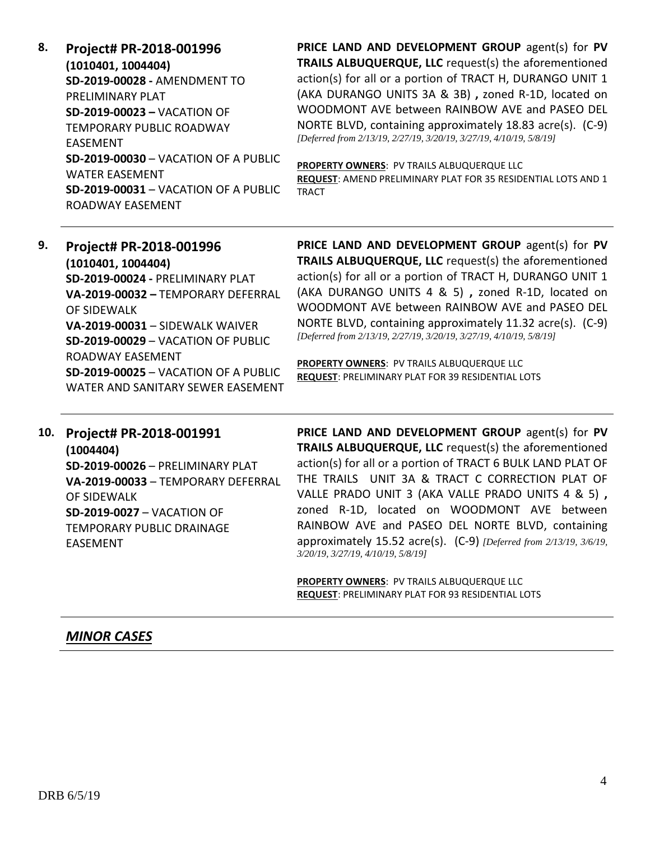**8. Project# PR-2018-001996 (1010401, 1004404) SD-2019-00028 -** AMENDMENT TO PRELIMINARY PLAT **SD-2019-00023 –** VACATION OF TEMPORARY PUBLIC ROADWAY EASEMENT **SD-2019-00030** – VACATION OF A PUBLIC WATER EASEMENT **SD-2019-00031** – VACATION OF A PUBLIC ROADWAY EASEMENT

**PRICE LAND AND DEVELOPMENT GROUP** agent(s) for **PV TRAILS ALBUQUERQUE, LLC** request(s) the aforementioned action(s) for all or a portion of TRACT H, DURANGO UNIT 1 (AKA DURANGO UNITS 3A & 3B) **,** zoned R-1D, located on WOODMONT AVE between RAINBOW AVE and PASEO DEL NORTE BLVD, containing approximately 18.83 acre(s). (C-9) *[Deferred from 2/13/19, 2/27/19, 3/20/19, 3/27/19, 4/10/19, 5/8/19]*

**PROPERTY OWNERS**: PV TRAILS ALBUQUERQUE LLC

**REQUEST**: AMEND PRELIMINARY PLAT FOR 35 RESIDENTIAL LOTS AND 1 TRACT

## **9. Project# PR-2018-001996 (1010401, 1004404) SD-2019-00024 -** PRELIMINARY PLAT **VA-2019-00032 –** TEMPORARY DEFERRAL OF SIDEWALK **VA-2019-00031** – SIDEWALK WAIVER **SD-2019-00029** – VACATION OF PUBLIC ROADWAY EASEMENT **SD-2019-00025** – VACATION OF A PUBLIC WATER AND SANITARY SEWER EASEMENT

**PRICE LAND AND DEVELOPMENT GROUP** agent(s) for **PV TRAILS ALBUQUERQUE, LLC** request(s) the aforementioned action(s) for all or a portion of TRACT H, DURANGO UNIT 1 (AKA DURANGO UNITS 4 & 5) **,** zoned R-1D, located on WOODMONT AVE between RAINBOW AVE and PASEO DEL NORTE BLVD, containing approximately 11.32 acre(s). (C-9) *[Deferred from 2/13/19, 2/27/19, 3/20/19, 3/27/19, 4/10/19, 5/8/19]*

**PROPERTY OWNERS**: PV TRAILS ALBUQUERQUE LLC **REQUEST**: PRELIMINARY PLAT FOR 39 RESIDENTIAL LOTS

### **10. Project# PR-2018-001991 (1004404) SD-2019-00026** – PRELIMINARY PLAT **VA-2019-00033** – TEMPORARY DEFERRAL OF SIDEWALK **SD-2019-0027** – VACATION OF TEMPORARY PUBLIC DRAINAGE

**PRICE LAND AND DEVELOPMENT GROUP** agent(s) for **PV TRAILS ALBUQUERQUE, LLC** request(s) the aforementioned action(s) for all or a portion of TRACT 6 BULK LAND PLAT OF THE TRAILS UNIT 3A & TRACT C CORRECTION PLAT OF VALLE PRADO UNIT 3 (AKA VALLE PRADO UNITS 4 & 5) **,**  zoned R-1D, located on WOODMONT AVE between RAINBOW AVE and PASEO DEL NORTE BLVD, containing approximately 15.52 acre(s). (C-9) *[Deferred from 2/13/19, 3/6/19, 3/20/19, 3/27/19, 4/10/19, 5/8/19]*

**PROPERTY OWNERS**: PV TRAILS ALBUQUERQUE LLC **REQUEST**: PRELIMINARY PLAT FOR 93 RESIDENTIAL LOTS

## *MINOR CASES*

EASEMENT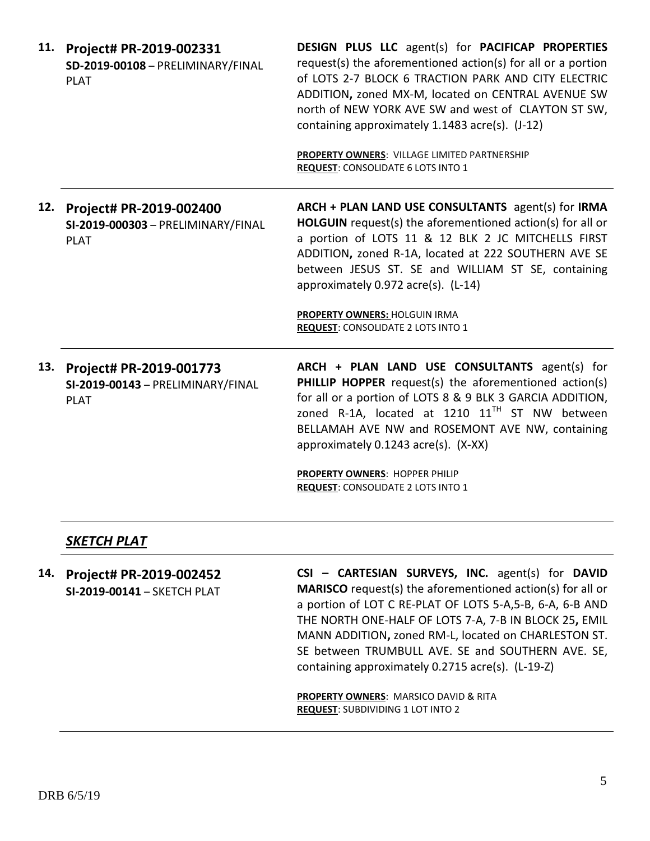|     | 11. Project# PR-2019-002331<br>SD-2019-00108 - PRELIMINARY/FINAL<br><b>PLAT</b> | <b>DESIGN PLUS LLC</b> agent(s) for <b>PACIFICAP PROPERTIES</b><br>request(s) the aforementioned action(s) for all or a portion<br>of LOTS 2-7 BLOCK 6 TRACTION PARK AND CITY ELECTRIC<br>ADDITION, zoned MX-M, located on CENTRAL AVENUE SW<br>north of NEW YORK AVE SW and west of CLAYTON ST SW,<br>containing approximately 1.1483 acre(s). (J-12)<br>PROPERTY OWNERS: VILLAGE LIMITED PARTNERSHIP<br><b>REQUEST: CONSOLIDATE 6 LOTS INTO 1</b> |
|-----|---------------------------------------------------------------------------------|-----------------------------------------------------------------------------------------------------------------------------------------------------------------------------------------------------------------------------------------------------------------------------------------------------------------------------------------------------------------------------------------------------------------------------------------------------|
| 12. | Project# PR-2019-002400<br>SI-2019-000303 - PRELIMINARY/FINAL<br><b>PLAT</b>    | ARCH + PLAN LAND USE CONSULTANTS agent(s) for IRMA<br>HOLGUIN request(s) the aforementioned action(s) for all or<br>a portion of LOTS 11 & 12 BLK 2 JC MITCHELLS FIRST<br>ADDITION, zoned R-1A, located at 222 SOUTHERN AVE SE<br>between JESUS ST. SE and WILLIAM ST SE, containing<br>approximately 0.972 acre(s). (L-14)<br><b>PROPERTY OWNERS: HOLGUIN IRMA</b><br><b>REQUEST: CONSOLIDATE 2 LOTS INTO 1</b>                                    |
|     | 13. Project# PR-2019-001773<br>SI-2019-00143 - PRELIMINARY/FINAL<br><b>PLAT</b> | ARCH + PLAN LAND USE CONSULTANTS agent(s) for<br><b>PHILLIP HOPPER</b> request(s) the aforementioned action(s)<br>for all or a portion of LOTS 8 & 9 BLK 3 GARCIA ADDITION,<br>zoned R-1A, located at 1210 $11TH$ ST NW between<br>BELLAMAH AVE NW and ROSEMONT AVE NW, containing<br>approximately 0.1243 acre(s). (X-XX)<br><b>PROPERTY OWNERS: HOPPER PHILIP</b><br><b>REQUEST: CONSOLIDATE 2 LOTS INTO 1</b>                                    |

#### *SKETCH PLAT*

**14. Project# PR-2019-002452 SI-2019-00141** – SKETCH PLAT **CSI – CARTESIAN SURVEYS, INC.** agent(s) for **DAVID MARISCO** request(s) the aforementioned action(s) for all or a portion of LOT C RE-PLAT OF LOTS 5-A,5-B, 6-A, 6-B AND THE NORTH ONE-HALF OF LOTS 7-A, 7-B IN BLOCK 25**,** EMIL MANN ADDITION**,** zoned RM-L, located on CHARLESTON ST. SE between TRUMBULL AVE. SE and SOUTHERN AVE. SE, containing approximately 0.2715 acre(s). (L-19-Z)

> **PROPERTY OWNERS**: MARSICO DAVID & RITA **REQUEST**: SUBDIVIDING 1 LOT INTO 2